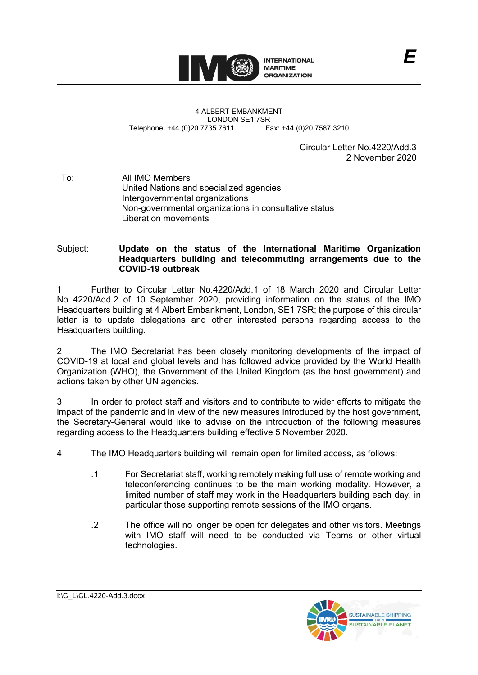

4 ALBERT EMBANKMENT LONDON SE1 7SR<br>735 7611 Fax: +44 (0)20 7587 3210 Telephone: +44 (0)20 7735 7611

Circular Letter No.4220/Add.3 2 November 2020

To: All IMO Members United Nations and specialized agencies Intergovernmental organizations Non-governmental organizations in consultative status Liberation movements

Subject: **Update on the status of the International Maritime Organization Headquarters building and telecommuting arrangements due to the COVID-19 outbreak**

1 Further to Circular Letter No.4220/Add.1 of 18 March 2020 and Circular Letter No. 4220/Add.2 of 10 September 2020, providing information on the status of the IMO Headquarters building at 4 Albert Embankment, London, SE1 7SR; the purpose of this circular letter is to update delegations and other interested persons regarding access to the Headquarters building.

2 The IMO Secretariat has been closely monitoring developments of the impact of COVID-19 at local and global levels and has followed advice provided by the World Health Organization (WHO), the Government of the United Kingdom (as the host government) and actions taken by other UN agencies.

3 In order to protect staff and visitors and to contribute to wider efforts to mitigate the impact of the pandemic and in view of the new measures introduced by the host government, the Secretary-General would like to advise on the introduction of the following measures regarding access to the Headquarters building effective 5 November 2020.

- 4 The IMO Headquarters building will remain open for limited access, as follows:
	- .1 For Secretariat staff, working remotely making full use of remote working and teleconferencing continues to be the main working modality. However, a limited number of staff may work in the Headquarters building each day, in particular those supporting remote sessions of the IMO organs.
	- .2 The office will no longer be open for delegates and other visitors. Meetings with IMO staff will need to be conducted via Teams or other virtual technologies.



I:\C\_L\CL.4220-Add.3.docx